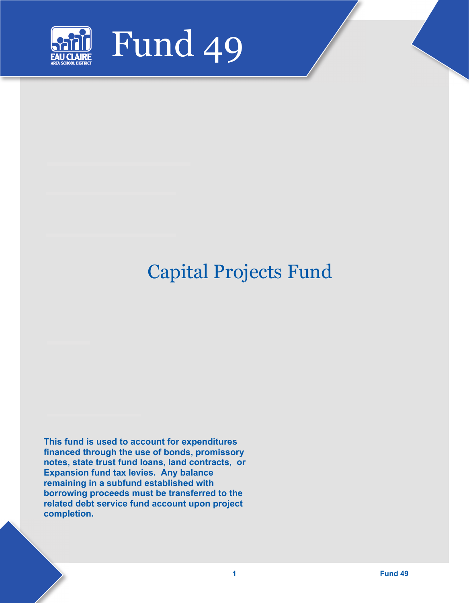

# Capital Projects Fund

**This fund is used to account for expenditures financed through the use of bonds, promissory notes, state trust fund loans, land contracts, or Expansion fund tax levies. Any balance remaining in a subfund established with borrowing proceeds must be transferred to the related debt service fund account upon project completion.**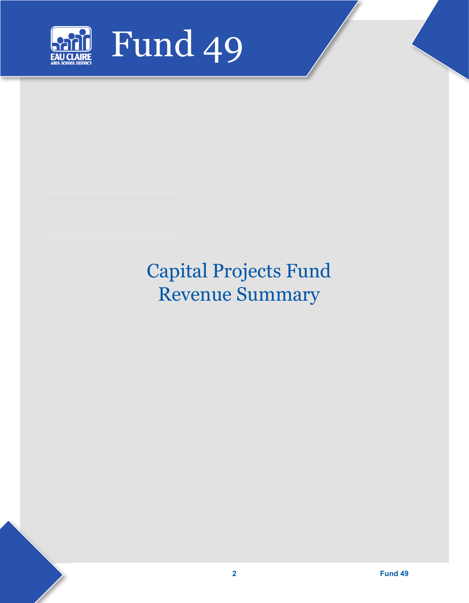

# Capital Projects Fund Revenue Summary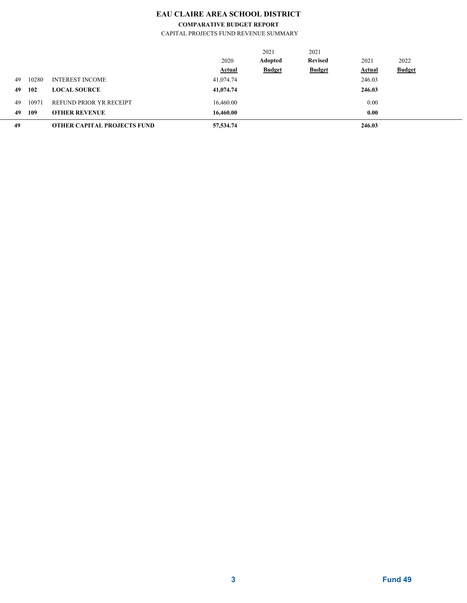## **EAU CLAIRE AREA SCHOOL DISTRICT**

#### **COMPARATIVE BUDGET REPORT**

CAPITAL PROJECTS FUND REVENUE SUMMARY

| 49 |       | <b>OTHER CAPITAL PROJECTS FUND</b> | 57,534.74     |                |                | 246.03        |               |  |
|----|-------|------------------------------------|---------------|----------------|----------------|---------------|---------------|--|
| 49 | 109   | <b>OTHER REVENUE</b>               | 16,460.00     |                |                | 0.00          |               |  |
| 49 | 10971 | REFUND PRIOR YR RECEIPT            | 16,460.00     |                |                | 0.00          |               |  |
| 49 | 102   | <b>LOCAL SOURCE</b>                | 41,074.74     |                |                | 246.03        |               |  |
| 49 | 10280 | <b>INTEREST INCOME</b>             | 41,074.74     |                |                | 246.03        |               |  |
|    |       |                                    | <b>Actual</b> | <b>Budget</b>  | <b>Budget</b>  | <b>Actual</b> | <b>Budget</b> |  |
|    |       |                                    | 2020          | <b>Adopted</b> | <b>Revised</b> | 2021          | 2022          |  |
|    |       |                                    |               | 2021           | 2021           |               |               |  |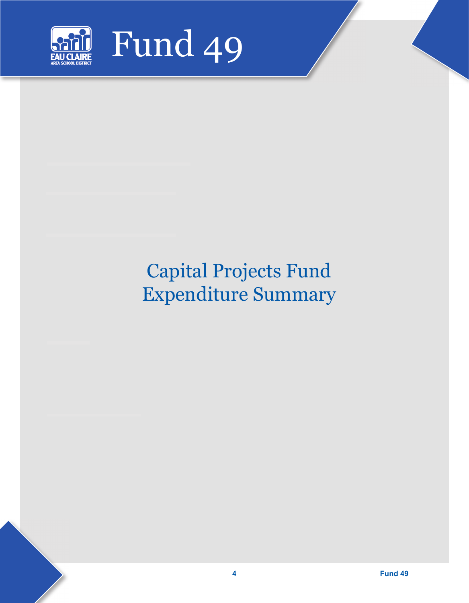

# Capital Projects Fund Expenditure Summary